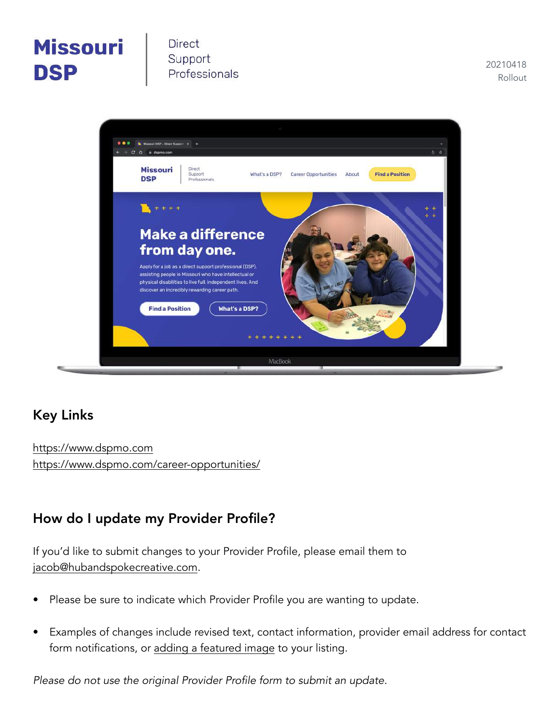# **Missouri DSP**

**Direct** Support Professionals

20210418 Rollout



### Key Links

<https://www.dspmo.com> <https://www.dspmo.com/career-opportunities/>

### How do I update my Provider Profile?

If you'd like to submit changes to your Provider Profile, please email them to [jacob@hubandspokecreative.com](mailto:jacob@hubandspokecreative.com?subject=Missouri%20DSP%20%E2%80%93%20Website%20Update).

- Please be sure to indicate which Provider Profile you are wanting to update.
- Examples of changes include revised text, contact information, provider email address for contact form notifications, or [adding a featured image](https://www.dspmo.com/provider/boone-county-family-resources/) to your listing.

*Please do not use the original Provider Profile form to submit an update.*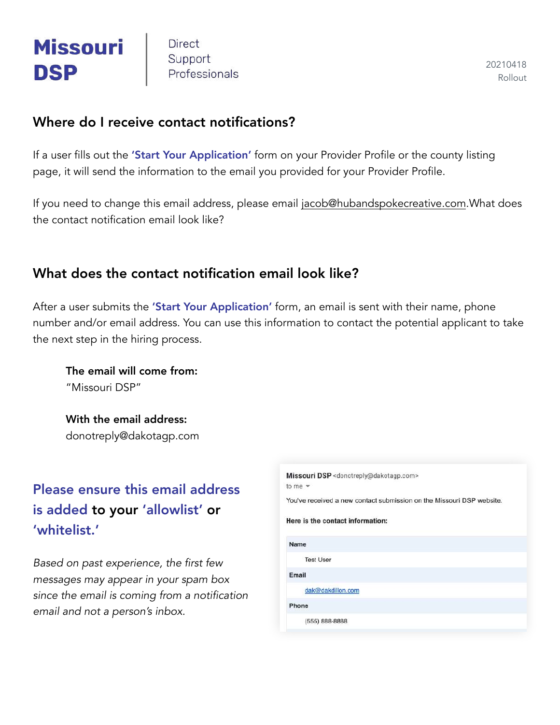# **Missouri DSP**

**Direct** Support Professionals

20210418 Rollout

#### Where do I receive contact notifications?

If a user fills out the 'Start Your Application' form on your Provider Profile or the county listing page, it will send the information to the email you provided for your Provider Profile.

If you need to change this email address, please email [jacob@hubandspokecreative.com.](mailto:jacob@hubandspokecreative.com?subject=Missouri%20DSP%20%E2%80%93%20Update%20to%20Provider%20Email%20Address)What does the contact notification email look like?

#### What does the contact notification email look like?

After a user submits the 'Start Your Application' form, an email is sent with their name, phone number and/or email address. You can use this information to contact the potential applicant to take the next step in the hiring process.

The email will come from: "Missouri DSP"

With the email address: donotreply@dakotagp.com

### Please ensure this email address is added to your 'allowlist' or 'whitelist.'

*Based on past experience, the first few messages may appear in your spam box since the email is coming from a notification email and not a person's inbox.*

| Missouri DSP <donotreply@dakotagp.com></donotreply@dakotagp.com>      |
|-----------------------------------------------------------------------|
| to me $-$                                                             |
| You've received a new contact submission on the Missouri DSP website. |
| Here is the contact information:                                      |
| Name                                                                  |
| <b>Test User</b>                                                      |
| Email                                                                 |
| dak@dakdillon.com                                                     |
| Phone                                                                 |
| (555) 888-8888                                                        |